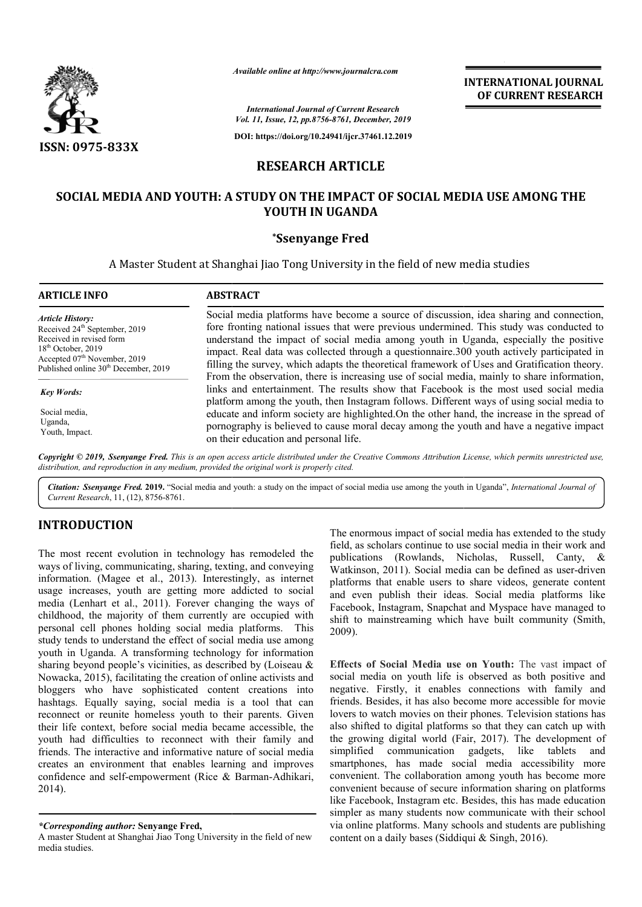

*Available online at http://www.journalcra.com*

**INTERNATIONAL JOURNAL OF CURRENT RESEARCH**

*International Journal of Current Research Vol. 11, Issue, 12, pp.8756-8761, December, 2019*

**DOI: https://doi.org/10.24941/ijcr.37461.12.2019**

# **RESEARCH ARTICLE**

# **SOCIAL MEDIA AND YOUTH: A STUDY ON THE IMPACT OF SOCIAL MEDIA USE AMONG THE YOUTH IN UGANDA**

# **\*Ssenyange Fred**

A Master Student at Shanghai Jiao Tong University in the field of new media studies

| <b>ARTICLE INFO</b>                              | <b>ABSTRACT</b>                                                                                                                                                                    |
|--------------------------------------------------|------------------------------------------------------------------------------------------------------------------------------------------------------------------------------------|
| <b>Article History:</b>                          | Social media platforms have become a source of discussion, idea sharing and connection,                                                                                            |
| Received 24 <sup>th</sup> September, 2019        | fore fronting national issues that were previous undermined. This study was conducted to                                                                                           |
| Received in revised form                         | understand the impact of social media among youth in Uganda, especially the positive                                                                                               |
| $18th$ October, 2019                             | impact. Real data was collected through a questionnaire.300 youth actively participated in                                                                                         |
| Accepted 07 <sup>th</sup> November, 2019         | filling the survey, which adapts the theoretical framework of Uses and Gratification theory.                                                                                       |
| Published online 30 <sup>th</sup> December, 2019 | From the observation, there is increasing use of social media, mainly to share information,                                                                                        |
| <b>Key Words:</b>                                | links and entertainment. The results show that Facebook is the most used social media<br>platform among the youth, then Instagram follows. Different ways of using social media to |
| Social media.                                    | educate and inform society are highlighted. On the other hand, the increase in the spread of                                                                                       |
| Uganda,                                          | pornography is believed to cause moral decay among the youth and have a negative impact                                                                                            |
| Youth, Impact.                                   | on their education and personal life.                                                                                                                                              |

Copyright © 2019, Ssenyange Fred. This is an open access article distributed under the Creative Commons Attribution License, which permits unrestricted use, *distribution, and reproduction in any medium, provided the original work is properly cited.*

Citation: Ssenyange Fred. 2019. "Social media and youth: a study on the impact of social media use among the youth in Uganda", *International Journal of Current Research*, 11, (12), 8756-8761.

# **INTRODUCTION**

The most recent evolution in technology has remodeled the ways of living, communicating, sharing, texting, and conveying information. (Magee et al., 2013). Interestingly, as internet usage increases, youth are getting more addicted to social media (Lenhart et al., 2011). Forever changing the ways of childhood, the majority of them currently are occupied with personal cell phones holding social media platforms. This study tends to understand the effect of social media use among youth in Uganda. A transforming technology for information sharing beyond people's vicinities, as described by (Loiseau & Nowacka, 2015), facilitating the creation of online activists and bloggers who have sophisticated content creations into youth in Uganda. A transforming technology for information sharing beyond people's vicinities, as described by (Loiseau & Nowacka, 2015), facilitating the creation of online activists and bloggers who have sophisticated co reconnect or reunite homeless youth to their parents. Given their life context, before social media became accessible, the youth had difficulties to reconnect with their family and friends. The interactive and informative nature of social media creates an environment that enables learning and improves confidence and self-empowerment (Rice & Barman-Adhikari, 2014).

The enormous impact of social media has extended to the study field, as scholars continue to use social media in their work and publications (Rowlands, Nicholas, Russell, Canty, & field, as scholars continue to use social media in their work and<br>publications (Rowlands, Nicholas, Russell, Canty, &<br>Watkinson, 2011). Social media can be defined as user-driven platforms that enable users to share videos, generate content and even publish their ideas. Social media platforms like Facebook, Instagram, Snapchat and Myspace have managed to shift to mainstreaming which have built community (Smith, 2009). rms that enable users to share videos, generate content<br>even publish their ideas. Social media platforms like<br>oook, Instagram, Snapchat and Myspace have managed to<br>to mainstreaming which have built community (Smith,

**Effects of Social Media use on Youth:** The vast impact of social media on youth life is observed as both positive and negative. Firstly, it enables connections with family and friends. Besides, it has also become more accessible for movie lovers to watch movies on their phones. Television stations has also shifted to digital platforms so that they can catch up with negative. Firstly, it enables connections with family and friends. Besides, it has also become more accessible for movie lovers to watch movies on their phones. Television stations has also shifted to digital platforms so simplified communication gadgets, like tablets and smartphones, has made social media accessibility more convenient. The collaboration among youth has become more convenient because of secure information sharing on platforms like Facebook, Instagram etc. Besides, this has made education simpler as many students now communicate with their school via online platforms. Many schools and st content on a daily bases (Siddiqui & Singh, 2016). simplified communication gadgets, like tablets and<br>smartphones, has made social media accessibility more<br>convenient because of secure information sharing on platforms<br>like Facebook, Instagram etc. Besides, this has made ed **EXECT ATTIONAL JOURNAL FOURNAL FOURNAL FOURNAL FOURNAL FOURNAL FOURNAL FOURNAL FOURNAL FOURNAL EXPRESEARCH AND SOMET AND STAND AND A SURVENTING AND SAMPLAT AND SAMPLAT AND SAMPLAT AND SAMPLAT AND SAMPLAT AND SAMPLAT AND** 

*<sup>\*</sup>Corresponding author:* **Senyange Fred,**

A master Student at Shanghai Jiao Tong University in the field of new media studies.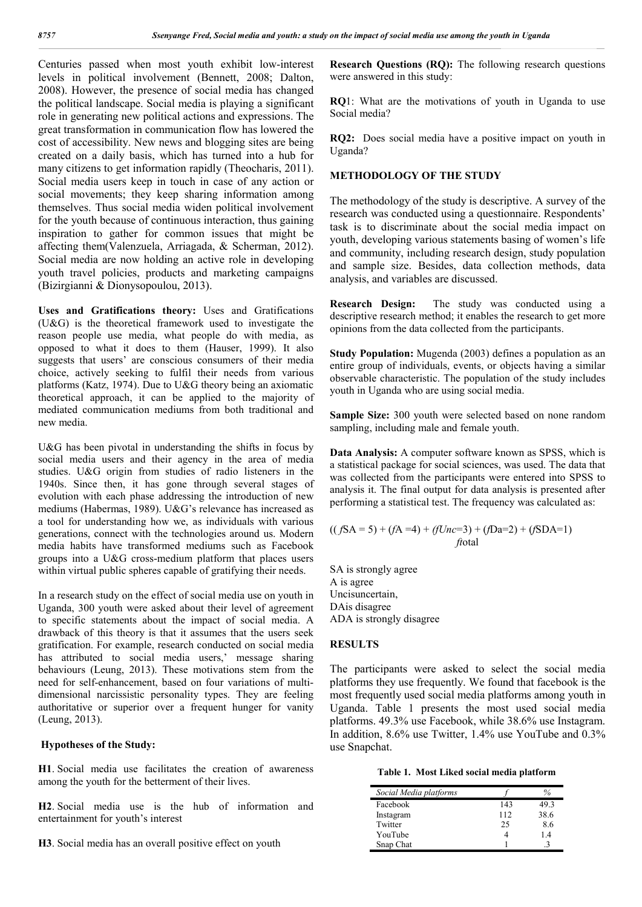Centuries passed when most youth exhibit low-interest levels in political involvement (Bennett, 2008; Dalton, 2008). However, the presence of social media has changed the political landscape. Social media is playing a significant role in generating new political actions and expressions. The great transformation in communication flow has lowered the cost of accessibility. New news and blogging sites are being created on a daily basis, which has turned into a hub for many citizens to get information rapidly (Theocharis, 2011). Social media users keep in touch in case of any action or social movements; they keep sharing information among themselves. Thus social media widen political involvement for the youth because of continuous interaction, thus gaining inspiration to gather for common issues that might be affecting them(Valenzuela, Arriagada, & Scherman, 2012). Social media are now holding an active role in developing youth travel policies, products and marketing campaigns (Bizirgianni & Dionysopoulou, 2013).

**Uses and Gratifications theory:** Uses and Gratifications (U&G) is the theoretical framework used to investigate the reason people use media, what people do with media, as opposed to what it does to them (Hauser, 1999). It also suggests that users' are conscious consumers of their media choice, actively seeking to fulfil their needs from various platforms (Katz, 1974). Due to U&G theory being an axiomatic theoretical approach, it can be applied to the majority of mediated communication mediums from both traditional and new media.

U&G has been pivotal in understanding the shifts in focus by social media users and their agency in the area of media studies. U&G origin from studies of radio listeners in the 1940s. Since then, it has gone through several stages of evolution with each phase addressing the introduction of new mediums (Habermas, 1989). U&G's relevance has increased as a tool for understanding how we, as individuals with various generations, connect with the technologies around us. Modern media habits have transformed mediums such as Facebook groups into a U&G cross-medium platform that places users within virtual public spheres capable of gratifying their needs.

In a research study on the effect of social media use on youth in Uganda, 300 youth were asked about their level of agreement to specific statements about the impact of social media. A drawback of this theory is that it assumes that the users seek gratification. For example, research conducted on social media has attributed to social media users,' message sharing behaviours (Leung, 2013). These motivations stem from the need for self-enhancement, based on four variations of multidimensional narcissistic personality types. They are feeling authoritative or superior over a frequent hunger for vanity (Leung, 2013).

### **Hypotheses of the Study:**

**H1**. Social media use facilitates the creation of awareness among the youth for the betterment of their lives.

**H2**. Social media use is the hub of information and entertainment for youth's interest

**H3**. Social media has an overall positive effect on youth

**Research Questions (RQ):** The following research questions were answered in this study:

**RQ**1: What are the motivations of youth in Uganda to use Social media?

**RQ2:** Does social media have a positive impact on youth in Uganda?

# **METHODOLOGY OF THE STUDY**

The methodology of the study is descriptive. A survey of the research was conducted using a questionnaire. Respondents' task is to discriminate about the social media impact on youth, developing various statements basing of women's life and community, including research design, study population and sample size. Besides, data collection methods, data analysis, and variables are discussed.

**Research Design:** The study was conducted using a descriptive research method; it enables the research to get more opinions from the data collected from the participants.

**Study Population:** Mugenda (2003) defines a population as an entire group of individuals, events, or objects having a similar observable characteristic. The population of the study includes youth in Uganda who are using social media.

**Sample Size:** 300 youth were selected based on none random sampling, including male and female youth.

**Data Analysis:** A computer software known as SPSS, which is a statistical package for social sciences, was used. The data that was collected from the participants were entered into SPSS to analysis it. The final output for data analysis is presented after performing a statistical test. The frequency was calculated as:

$$
((fSA = 5) + (fA = 4) + (fUnc=3) + (fDa=2) + (fSDA=1)
$$
  
*fiotal*

SA is strongly agree A is agree Uncisuncertain, DAis disagree ADA is strongly disagree

### **RESULTS**

The participants were asked to select the social media platforms they use frequently. We found that facebook is the most frequently used social media platforms among youth in Uganda. Table 1 presents the most used social media platforms. 49.3% use Facebook, while 38.6% use Instagram. In addition, 8.6% use Twitter, 1.4% use YouTube and 0.3% use Snapchat.

**Table 1. Most Liked social media platform**

| Social Media platforms |     |      |
|------------------------|-----|------|
| Facebook               | 143 | 49.3 |
| Instagram              | 112 | 38.6 |
| Twitter                | 25  | 8.6  |
| YouTube                |     | 1.4  |
| Snap Chat              |     |      |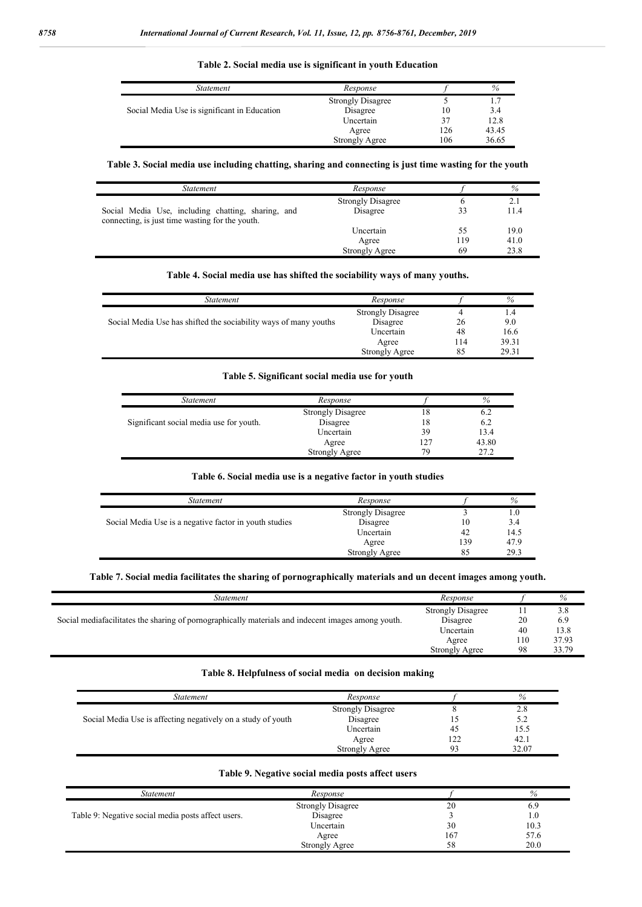# *Statement Response f %* Strongly Disagree 5 1.7<br>Disagree 10 3.4 Social Media Use is significant in Education Disagree 10 3.4<br>Uncertain 37 12.8 Uncertain 37 12.8<br>Agree 126 43.45 Agree 126 43.45<br>
ngly Agree 106 36.65 Strongly Agree

**Table 2. Social media use is significant in youth Education**

### **Table 3. Social media use including chatting, sharing and connecting is just time wasting for the youth**

| Statement                                                                                             | Response                 |     | %    |
|-------------------------------------------------------------------------------------------------------|--------------------------|-----|------|
|                                                                                                       | <b>Strongly Disagree</b> |     | 2.1  |
| Social Media Use, including chatting, sharing, and<br>connecting, is just time wasting for the youth. | Disagree                 | 33  | 11.4 |
|                                                                                                       | Uncertain                | 55  | 19.0 |
|                                                                                                       | Agree                    | 119 | 41.0 |
|                                                                                                       | <b>Strongly Agree</b>    | 69  | 23.8 |

#### **Table 4. Social media use has shifted the sociability ways of many youths.**

| Statement                                                        | Response                 |     | %     |
|------------------------------------------------------------------|--------------------------|-----|-------|
|                                                                  | <b>Strongly Disagree</b> |     | . .4  |
| Social Media Use has shifted the sociability ways of many youths | Disagree                 | 26  | 9.0   |
|                                                                  | Uncertain                | 48  | 16.6  |
|                                                                  | Agree                    | 114 | 39.31 |
|                                                                  | <b>Strongly Agree</b>    | 85  | 29.31 |

# **Table 5. Significant social media use for youth**

| Statement                               | Response                 |     | $\%$  |
|-----------------------------------------|--------------------------|-----|-------|
|                                         | <b>Strongly Disagree</b> | 18  | 6.2   |
| Significant social media use for youth. | Disagree                 | 18  | 6.2   |
|                                         | Uncertain                | 39  | 13.4  |
|                                         | Agree                    | 127 | 43.80 |
|                                         | <b>Strongly Agree</b>    | 79  | 27.2  |

### **Table 6. Social media use is a negative factor in youth studies**

| Statement                                              | Response                 |     | %    |
|--------------------------------------------------------|--------------------------|-----|------|
|                                                        | <b>Strongly Disagree</b> |     | 1.0  |
| Social Media Use is a negative factor in youth studies | Disagree                 | 10  | 3.4  |
|                                                        | Uncertain                | 42  | 14.5 |
|                                                        | Agree                    | 139 | 47.9 |
|                                                        | <b>Strongly Agree</b>    | 85  | 29.3 |

### **Table 7. Social media facilitates the sharing of pornographically materials and un decent images among youth.**

| <i>Statement</i>                                                                                   | Response                 |     | %     |
|----------------------------------------------------------------------------------------------------|--------------------------|-----|-------|
|                                                                                                    | <b>Strongly Disagree</b> |     | 3.8   |
| Social mediafacilitates the sharing of pornographically materials and indecent images among youth. | Disagree                 | 20  | 6.9   |
|                                                                                                    | Uncertain                | 40  | 13.8  |
|                                                                                                    | Agree                    | 110 | 37.93 |
|                                                                                                    | <b>Strongly Agree</b>    | 98  | 33.79 |
|                                                                                                    |                          |     |       |

### **Table 8. Helpfulness of social media on decision making**

| Statement                                                    | Response                 |    | %     |
|--------------------------------------------------------------|--------------------------|----|-------|
|                                                              | <b>Strongly Disagree</b> |    | 2.8   |
| Social Media Use is affecting negatively on a study of youth | Disagree                 |    | 5.2   |
|                                                              | Uncertain                |    | 15.5  |
|                                                              | Agree                    | າາ | 42.1  |
|                                                              | Strongly Agree           | ۵a | 32.07 |

#### **Table 9. Negative social media posts affect users**

| Statement                                          | Response                 |     | %            |
|----------------------------------------------------|--------------------------|-----|--------------|
|                                                    | <b>Strongly Disagree</b> | 20  | 6.9          |
| Table 9: Negative social media posts affect users. | Disagree                 |     | $_{\rm 1.0}$ |
|                                                    | Uncertain                | 30  | 10.3         |
|                                                    | Agree                    | 167 | 57.6         |
|                                                    | <b>Strongly Agree</b>    | 58  | 20.0         |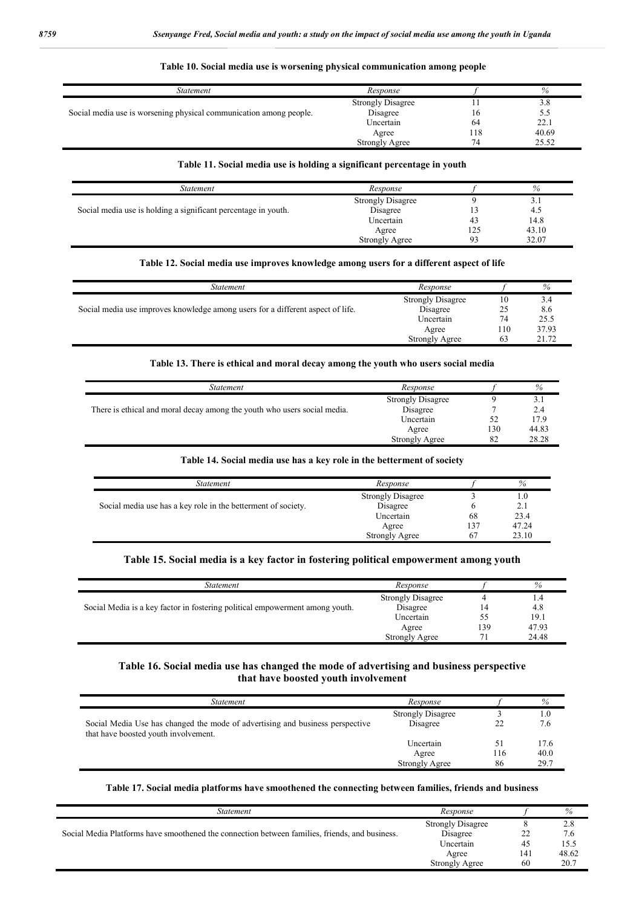| <i>Statement</i>                                                   | Response                 |     | %     |
|--------------------------------------------------------------------|--------------------------|-----|-------|
|                                                                    | <b>Strongly Disagree</b> |     | 3.8   |
| Social media use is worsening physical communication among people. | Disagree                 | 16  | 5.5   |
|                                                                    | Uncertain                | 64  | 22.1  |
|                                                                    | Agree                    | 18، | 40.69 |
|                                                                    | <b>Strongly Agree</b>    | 74  | 25.52 |

# **Table 10. Social media use is worsening physical communication among people**

# **Table 11. Social media use is holding a significant percentage in youth**

| Statement                                                      | Response                 |     | %     |
|----------------------------------------------------------------|--------------------------|-----|-------|
|                                                                | <b>Strongly Disagree</b> |     | 3.1   |
| Social media use is holding a significant percentage in youth. | Disagree                 |     | 4.5   |
|                                                                | Uncertain                | 43  | 14.8  |
|                                                                | Agree                    | 125 | 43.10 |
|                                                                | <b>Strongly Agree</b>    | 93  | 32.07 |

### **Table 12. Social media use improves knowledge among users for a different aspect of life**

| Statement                                                                       | Response                 |     | $\%$  |
|---------------------------------------------------------------------------------|--------------------------|-----|-------|
|                                                                                 | <b>Strongly Disagree</b> | 10  |       |
| Social media use improves knowledge among users for a different aspect of life. | Disagree                 | 25  | 8.6   |
|                                                                                 | Uncertain                | 74  | 25.5  |
|                                                                                 | Agree                    | 110 | 37.93 |
|                                                                                 | <b>Strongly Agree</b>    | 63  | 21.72 |

# **Table 13. There is ethical and moral decay among the youth who users social media**

| Statement                                                                | Response                 |     | %     |
|--------------------------------------------------------------------------|--------------------------|-----|-------|
|                                                                          | <b>Strongly Disagree</b> |     | 3.1   |
| There is ethical and moral decay among the youth who users social media. | Disagree                 |     | 2.4   |
|                                                                          | Uncertain                |     | 17.9  |
|                                                                          | Agree                    | 130 | 44.83 |
|                                                                          | <b>Strongly Agree</b>    | 82  | 28.28 |

# **Table 14. Social media use has a key role in the betterment of society**

| Statement                                                     | Response                 |     | %     |
|---------------------------------------------------------------|--------------------------|-----|-------|
|                                                               | <b>Strongly Disagree</b> |     | 1.0   |
| Social media use has a key role in the betterment of society. | Disagree                 |     | 2.1   |
|                                                               | Uncertain                | 68  | 23.4  |
|                                                               | Agree                    | 137 | 47.24 |
|                                                               | <b>Strongly Agree</b>    | -67 | 23.10 |

# **Table 15. Social media is a key factor in fostering political empowerment among youth**

| Statement                                                                    | Response                 |     | %     |
|------------------------------------------------------------------------------|--------------------------|-----|-------|
|                                                                              | <b>Strongly Disagree</b> |     | 1.4   |
| Social Media is a key factor in fostering political empowerment among youth. | Disagree                 | 14  | 4.8   |
|                                                                              | Uncertain                | 55  | 19.1  |
|                                                                              | Agree                    | 139 | 47.93 |
|                                                                              | <b>Strongly Agree</b>    |     | 24.48 |

# **Table 16. Social media use has changed the mode of advertising and business perspective that have boosted youth involvement**

| Statement                                                                                                             | Response                 |     | $\%$ |
|-----------------------------------------------------------------------------------------------------------------------|--------------------------|-----|------|
|                                                                                                                       | <b>Strongly Disagree</b> |     | 1.0  |
| Social Media Use has changed the mode of advertising and business perspective<br>that have boosted youth involvement. | Disagree                 |     | 7.6  |
|                                                                                                                       | Uncertain                | 51  | 17.6 |
|                                                                                                                       | Agree                    | 116 | 40.0 |
|                                                                                                                       | <b>Strongly Agree</b>    | 86  | 29.7 |

# **Table 17. Social media platforms have smoothened the connecting between families, friends and business**

| Statement                                                                                      | Response                 |     | %     |
|------------------------------------------------------------------------------------------------|--------------------------|-----|-------|
|                                                                                                | <b>Strongly Disagree</b> |     | 2.8   |
| Social Media Platforms have smoothened the connection between families, friends, and business. | Disagree                 | 22  | 7.6   |
|                                                                                                | Uncertain                | 45  | 15.5  |
|                                                                                                | Agree                    | 141 | 48.62 |
|                                                                                                | <b>Strongly Agree</b>    | 60  | 20.7  |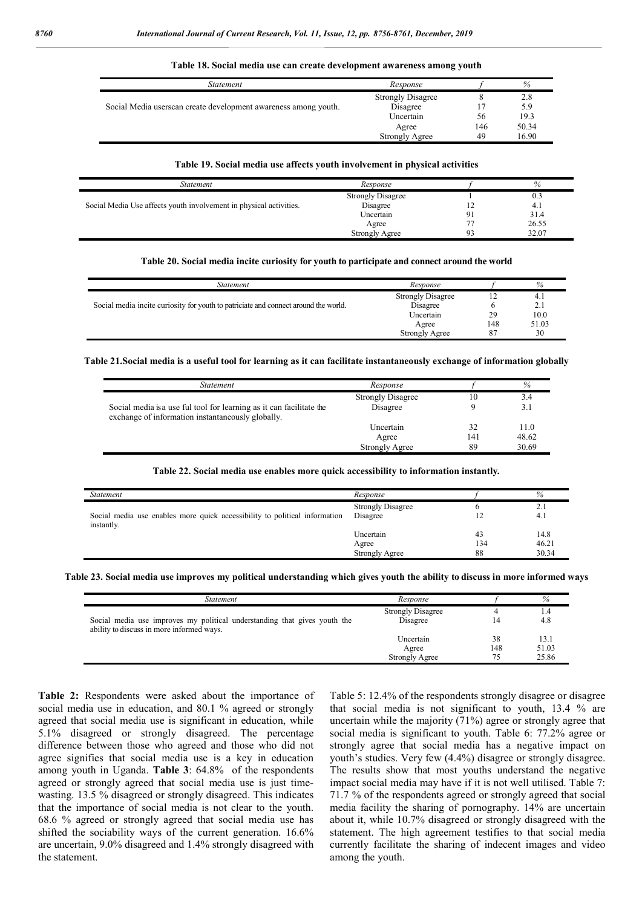| Statement                                                       | Response                 |     | %     |
|-----------------------------------------------------------------|--------------------------|-----|-------|
|                                                                 | <b>Strongly Disagree</b> |     | 2.8   |
| Social Media userscan create development awareness among youth. | Disagree                 |     | 5.9   |
|                                                                 | Uncertain                | 56  | 19.3  |
|                                                                 | Agree                    | 146 | 50.34 |
|                                                                 | <b>Strongly Agree</b>    | 49  | 16.90 |

**Table 18. Social media use can create development awareness among youth**

#### **Table 19. Social media use affects youth involvement in physical activities**

| Statement                                                          | Response                 | $\%$  |
|--------------------------------------------------------------------|--------------------------|-------|
|                                                                    | <b>Strongly Disagree</b> | 0.3   |
| Social Media Use affects youth involvement in physical activities. | Disagree                 | -4.   |
|                                                                    | Uncertain                | 31.4  |
|                                                                    | Agree                    | 26.55 |
|                                                                    | <b>Strongly Agree</b>    | 32.07 |

#### **Table 20. Social media incite curiosity for youth to participate and connect around the world**

| Statement                                                                           | Response                 |     | %     |
|-------------------------------------------------------------------------------------|--------------------------|-----|-------|
|                                                                                     | <b>Strongly Disagree</b> |     | 4.,   |
| Social media incite curiosity for youth to patriciate and connect around the world. | Disagree                 |     | 2.1   |
|                                                                                     | Uncertain                | 29  | 10.0  |
|                                                                                     | Agree                    | 148 | 51.03 |
|                                                                                     | <b>Strongly Agree</b>    | 87  | 30    |
|                                                                                     |                          |     |       |

#### **Table 21.Social media is a useful tool for learning as it can facilitate instantaneously exchange of information globally**

| Statement                                                                                                                 | Response                 |     | %     |
|---------------------------------------------------------------------------------------------------------------------------|--------------------------|-----|-------|
|                                                                                                                           | <b>Strongly Disagree</b> | 10  | 3.4   |
| Social media is a use ful tool for learning as it can facilitate the<br>exchange of information instantaneously globally. | Disagree                 |     | 3.1   |
|                                                                                                                           | Uncertain                | 32  | 11.0  |
|                                                                                                                           | Agree                    | 141 | 48.62 |
|                                                                                                                           | <b>Strongly Agree</b>    | 89  | 30.69 |

#### **Table 22. Social media use enables more quick accessibility to information instantly***.*

| <i>Statement</i>                                                                         | Response                 |     | %     |
|------------------------------------------------------------------------------------------|--------------------------|-----|-------|
|                                                                                          | <b>Strongly Disagree</b> |     | 2.1   |
| Social media use enables more quick accessibility to political information<br>instantly. | Disagree                 |     | 4.1   |
|                                                                                          | Uncertain                | 43  | 14.8  |
|                                                                                          | Agree                    | 134 | 46.21 |
|                                                                                          | <b>Strongly Agree</b>    | 88  | 30.34 |

#### **Table 23. Social media use improves my political understanding which gives youth the ability to discuss in more informed ways**

| <i>Statement</i>                                                                                                       | Response                 |     | %     |
|------------------------------------------------------------------------------------------------------------------------|--------------------------|-----|-------|
|                                                                                                                        | <b>Strongly Disagree</b> |     | 1.4   |
| Social media use improves my political understanding that gives youth the<br>ability to discuss in more informed ways. | Disagree                 | 14  | 4.8   |
|                                                                                                                        | Uncertain                | 38  | 13.1  |
|                                                                                                                        | Agree                    | 148 | 51.03 |
|                                                                                                                        | <b>Strongly Agree</b>    |     | 25.86 |

**Table 2:** Respondents were asked about the importance of social media use in education, and 80.1 % agreed or strongly agreed that social media use is significant in education, while 5.1% disagreed or strongly disagreed. The percentage difference between those who agreed and those who did not agree signifies that social media use is a key in education among youth in Uganda. **Table 3**: 64.8% of the respondents agreed or strongly agreed that social media use is just timewasting. 13.5 % disagreed or strongly disagreed. This indicates that the importance of social media is not clear to the youth. 68.6 % agreed or strongly agreed that social media use has shifted the sociability ways of the current generation. 16.6% are uncertain, 9.0% disagreed and 1.4% strongly disagreed with the statement.

Table 5: 12.4% of the respondents strongly disagree or disagree that social media is not significant to youth, 13.4 % are uncertain while the majority (71%) agree or strongly agree that social media is significant to youth. Table 6: 77.2% agree or strongly agree that social media has a negative impact on youth's studies. Very few (4.4%) disagree or strongly disagree. The results show that most youths understand the negative impact social media may have if it is not well utilised. Table 7: 71.7 % of the respondents agreed or strongly agreed that social media facility the sharing of pornography. 14% are uncertain about it, while 10.7% disagreed or strongly disagreed with the statement. The high agreement testifies to that social media currently facilitate the sharing of indecent images and video among the youth.